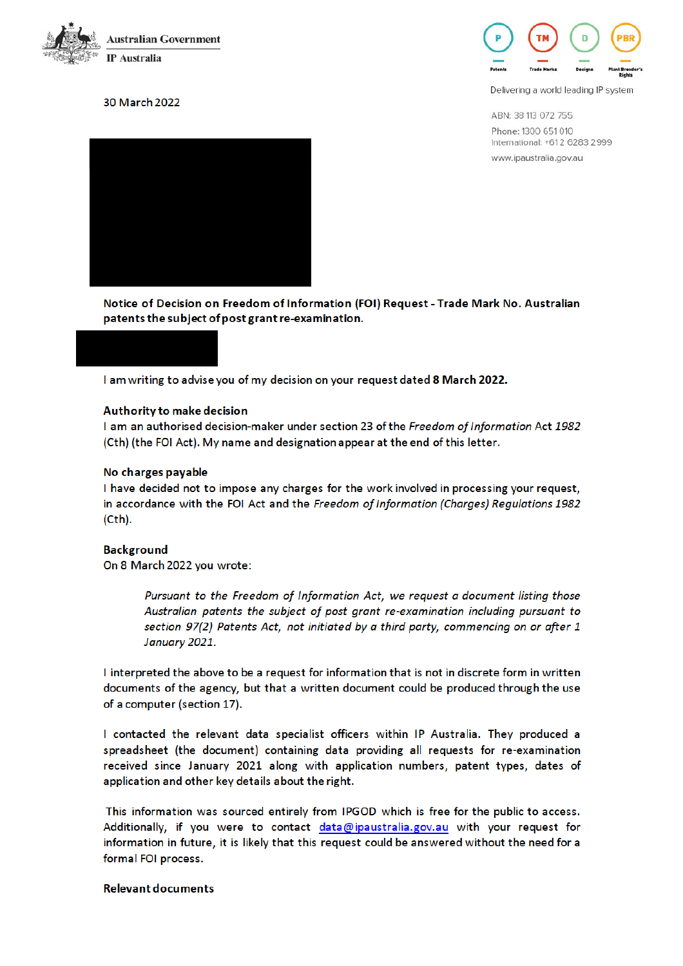

### 30 March 2022



Delivering a world leading IP system

ABN: 38 113 072 755 Phone: 1300 651 010 International: +612 6283 2999 www.ipaustralia.gov.au



Notice of Decision on Freedom of Information (FOI) Request - Trade Mark No. Australian patents the subject of post grant re-examination.

I am writing to advise you of my decision on your request dated 8 March 2022.

#### Authority to make decision

I am an authorised decision-maker under section 23 of the Freedom of Information Act 1982 (Cth) (the FOI Act). My name and designation appear at the end of this letter.

#### No charges payable

I have decided not to impose any charges for the work involved in processing your request, in accordance with the FOI Act and the Freedom of Information (Charges) Regulations 1982  $(Cth).$ 

#### **Background**

On 8 March 2022 you wrote:

Pursuant to the Freedom of Information Act, we request a document listing those Australian patents the subject of post grant re-examination including pursuant to section 97(2) Patents Act, not initiated by a third party, commencing on or after 1 January 2021.

I interpreted the above to be a request for information that is not in discrete form in written documents of the agency, but that a written document could be produced through the use of a computer (section 17).

I contacted the relevant data specialist officers within IP Australia. They produced a spreadsheet (the document) containing data providing all requests for re-examination received since January 2021 along with application numbers, patent types, dates of application and other key details about the right.

This information was sourced entirely from IPGOD which is free for the public to access. Additionally, if you were to contact data@ipaustralia.gov.au with your request for information in future, it is likely that this request could be answered without the need for a formal FOI process.

#### **Relevant documents**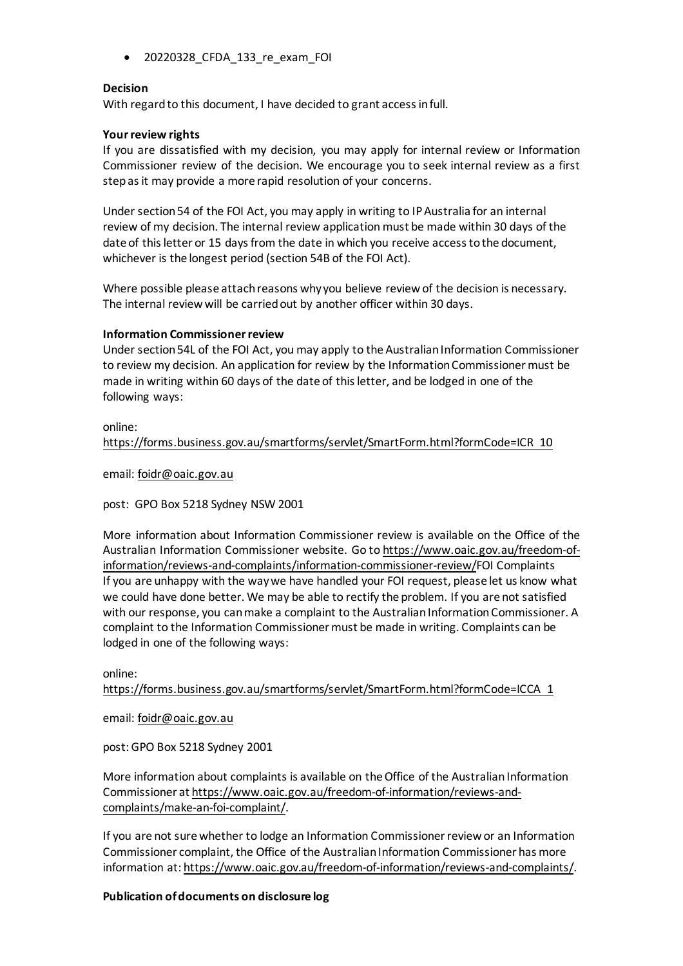• 20220328\_CFDA\_133\_re\_exam\_FOI

### **Decision**

With regard to this document, I have decided to grant access in full.

### **Your review rights**

If you are dissatisfied with my decision, you may apply for internal review or Information Commissioner review of the decision. We encourage you to seek internal review as a first step as it may provide a more rapid resolution of your concerns.

Under section 54 of the FOI Act, you may apply in writing to IP Australia for an internal review of my decision. The internal review application must be made within 30 days of the date of this letter or 15 days from the date in which you receive access to the document, whichever is the longest period (section 54B of the FOI Act).

Where possible please attach reasons why you believe review of the decision is necessary. The internal review will be carried out by another officer within 30 days.

#### **Information Commissioner review**

Under section 54L of the FOI Act, you may apply to the Australian Information Commissioner to review my decision. An application for review by the Information Commissioner must be made in writing within 60 days of the date of this letter, and be lodged in one of the following ways:

## online: https://forms.business.gov.au/smartforms/servlet/SmartForm.html?formCode=ICR 10

email: foidr@oaic.gov.au

post: GPO Box 5218 Sydney NSW 2001

More information about Information Commissioner review is available on the Office of the Australian Information Commissioner website. Go to https://www.oaic.gov.au/freedom-ofinformation/reviews-and-complaints/information-commissioner-review/FOI Complaints If you are unhappy with the way we have handled your FOI request, please let us know what we could have done better. We may be able to rectify the problem. If you are not satisfied with our response, you can make a complaint to the Australian Information Commissioner. A complaint to the Information Commissioner must be made in writing. Complaints can be lodged in one of the following ways:

online:

https://forms.business.gov.au/smartforms/servlet/SmartForm.html?formCode=ICCA 1

email: foidr@oaic.gov.au

post: GPO Box 5218 Sydney 2001

More information about complaints is available on the Office of the Australian Information Commissioner at https://www.oaic.gov.au/freedom-of-information/reviews-andcomplaints/make-an-foi-complaint/.

If you are not sure whether to lodge an Information Commissioner review or an Information Commissioner complaint, the Office of the Australian Information Commissioner has more information at: https://www.oaic.gov.au/freedom-of-information/reviews-and-complaints/.

## **Publication of documents on disclosure log**